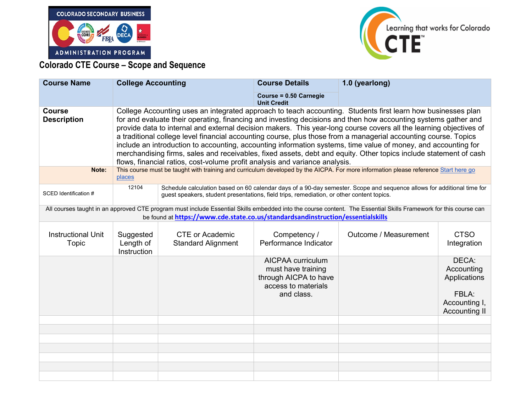



## **Colorado CTE Course – Scope and Sequence**

| <b>Course Name</b>                                                                                                                                                                                                                                  | <b>College Accounting</b>                                                                                                                                                                                                                                                                                                                                                                                                                                                                                                                                                                                                                                                                                                                                                                     |                                                     | <b>Course Details</b>                                                                                 | 1.0 (yearlong)        |                                                                                       |
|-----------------------------------------------------------------------------------------------------------------------------------------------------------------------------------------------------------------------------------------------------|-----------------------------------------------------------------------------------------------------------------------------------------------------------------------------------------------------------------------------------------------------------------------------------------------------------------------------------------------------------------------------------------------------------------------------------------------------------------------------------------------------------------------------------------------------------------------------------------------------------------------------------------------------------------------------------------------------------------------------------------------------------------------------------------------|-----------------------------------------------------|-------------------------------------------------------------------------------------------------------|-----------------------|---------------------------------------------------------------------------------------|
|                                                                                                                                                                                                                                                     |                                                                                                                                                                                                                                                                                                                                                                                                                                                                                                                                                                                                                                                                                                                                                                                               |                                                     | Course = 0.50 Carnegie<br><b>Unit Credit</b>                                                          |                       |                                                                                       |
| <b>Course</b><br><b>Description</b>                                                                                                                                                                                                                 | College Accounting uses an integrated approach to teach accounting. Students first learn how businesses plan<br>for and evaluate their operating, financing and investing decisions and then how accounting systems gather and<br>provide data to internal and external decision makers. This year-long course covers all the learning objectives of<br>a traditional college level financial accounting course, plus those from a managerial accounting course. Topics<br>include an introduction to accounting, accounting information systems, time value of money, and accounting for<br>merchandising firms, sales and receivables, fixed assets, debt and equity. Other topics include statement of cash<br>flows, financial ratios, cost-volume profit analysis and variance analysis. |                                                     |                                                                                                       |                       |                                                                                       |
| Note:                                                                                                                                                                                                                                               | This course must be taught with training and curriculum developed by the AICPA. For more information please reference Start here go<br>places                                                                                                                                                                                                                                                                                                                                                                                                                                                                                                                                                                                                                                                 |                                                     |                                                                                                       |                       |                                                                                       |
| SCED Identification #                                                                                                                                                                                                                               | 12104<br>Schedule calculation based on 60 calendar days of a 90-day semester. Scope and sequence allows for additional time for<br>guest speakers, student presentations, field trips, remediation, or other content topics.                                                                                                                                                                                                                                                                                                                                                                                                                                                                                                                                                                  |                                                     |                                                                                                       |                       |                                                                                       |
| All courses taught in an approved CTE program must include Essential Skills embedded into the course content. The Essential Skills Framework for this course can<br>be found at https://www.cde.state.co.us/standardsandinstruction/essentialskills |                                                                                                                                                                                                                                                                                                                                                                                                                                                                                                                                                                                                                                                                                                                                                                                               |                                                     |                                                                                                       |                       |                                                                                       |
| <b>Instructional Unit</b><br><b>Topic</b>                                                                                                                                                                                                           | Suggested<br>Length of<br>Instruction                                                                                                                                                                                                                                                                                                                                                                                                                                                                                                                                                                                                                                                                                                                                                         | <b>CTE or Academic</b><br><b>Standard Alignment</b> | Competency /<br>Performance Indicator                                                                 | Outcome / Measurement | <b>CTSO</b><br>Integration                                                            |
|                                                                                                                                                                                                                                                     |                                                                                                                                                                                                                                                                                                                                                                                                                                                                                                                                                                                                                                                                                                                                                                                               |                                                     | AICPAA curriculum<br>must have training<br>through AICPA to have<br>access to materials<br>and class. |                       | DECA:<br>Accounting<br>Applications<br>FBLA:<br>Accounting I,<br><b>Accounting II</b> |
|                                                                                                                                                                                                                                                     |                                                                                                                                                                                                                                                                                                                                                                                                                                                                                                                                                                                                                                                                                                                                                                                               |                                                     |                                                                                                       |                       |                                                                                       |
|                                                                                                                                                                                                                                                     |                                                                                                                                                                                                                                                                                                                                                                                                                                                                                                                                                                                                                                                                                                                                                                                               |                                                     |                                                                                                       |                       |                                                                                       |
|                                                                                                                                                                                                                                                     |                                                                                                                                                                                                                                                                                                                                                                                                                                                                                                                                                                                                                                                                                                                                                                                               |                                                     |                                                                                                       |                       |                                                                                       |
|                                                                                                                                                                                                                                                     |                                                                                                                                                                                                                                                                                                                                                                                                                                                                                                                                                                                                                                                                                                                                                                                               |                                                     |                                                                                                       |                       |                                                                                       |
|                                                                                                                                                                                                                                                     |                                                                                                                                                                                                                                                                                                                                                                                                                                                                                                                                                                                                                                                                                                                                                                                               |                                                     |                                                                                                       |                       |                                                                                       |
|                                                                                                                                                                                                                                                     |                                                                                                                                                                                                                                                                                                                                                                                                                                                                                                                                                                                                                                                                                                                                                                                               |                                                     |                                                                                                       |                       |                                                                                       |